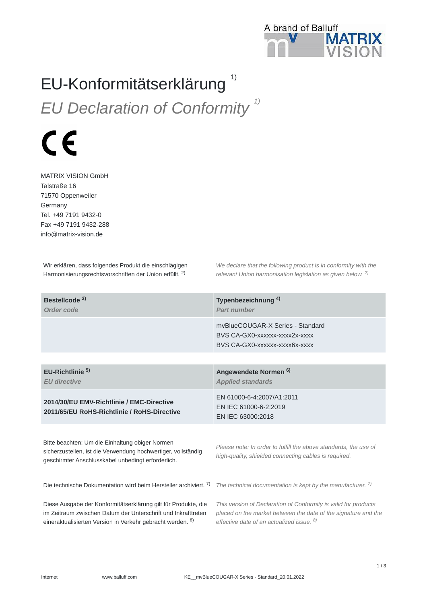

## EU-Konformitätserklärung *EU Declaration of Conformity 1)* 1)

 $\epsilon$ 

MATRIX VISION GmbH Talstraße 16 71570 Oppenweiler Germany Tel. +49 7191 9432-0 Fax +49 7191 9432-288 info@matrix-vision.de

Wir erklären, dass folgendes Produkt die einschlägigen Harmonisierungsrechtsvorschriften der Union erfüllt. <sup>2)</sup>

*We declare that the following product is in conformity with the relevant Union harmonisation legislation as given below.*  2) *2)*

| Bestellcode <sup>3)</sup><br>Order code                                                                                                                                                       | Typenbezeichnung <sup>4)</sup><br>Part number                                                                                                                                             |
|-----------------------------------------------------------------------------------------------------------------------------------------------------------------------------------------------|-------------------------------------------------------------------------------------------------------------------------------------------------------------------------------------------|
|                                                                                                                                                                                               | mvBlueCOUGAR-X Series - Standard<br>BVS CA-GX0-XXXXXX-XXXX2X-XXXX<br>BVS CA-GX0-XXXXXX-XXXX6X-XXXX                                                                                        |
|                                                                                                                                                                                               |                                                                                                                                                                                           |
| EU-Richtlinie <sup>5)</sup><br><b>EU directive</b>                                                                                                                                            | Angewendete Normen <sup>6)</sup><br><b>Applied standards</b>                                                                                                                              |
| 2014/30/EU EMV-Richtlinie / EMC-Directive<br>2011/65/EU RoHS-Richtlinie / RoHS-Directive                                                                                                      | EN 61000-6-4:2007/A1:2011<br>EN IEC 61000-6-2:2019<br>EN IEC 63000:2018                                                                                                                   |
| Bitte beachten: Um die Einhaltung obiger Normen<br>sicherzustellen, ist die Verwendung hochwertiger, vollständig<br>geschirmter Anschlusskabel unbedingt erforderlich.                        | Please note: In order to fulfill the above standards, the use of<br>high-quality, shielded connecting cables is required.                                                                 |
| Die technische Dokumentation wird beim Hersteller archiviert. 7)                                                                                                                              | The technical documentation is kept by the manufacturer. $7$ )                                                                                                                            |
| Diese Ausgabe der Konformitätserklärung gilt für Produkte, die<br>im Zeitraum zwischen Datum der Unterschrift und Inkrafttreten<br>eineraktualisierten Version in Verkehr gebracht werden. 8) | This version of Declaration of Conformity is valid for products<br>placed on the market between the date of the signature and the<br>effective date of an actualized issue. <sup>8)</sup> |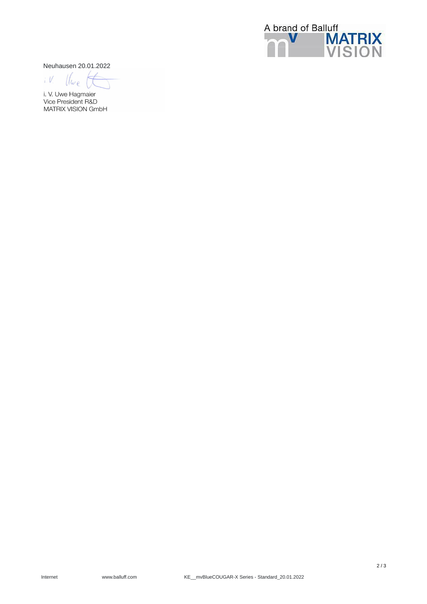

Neuhausen 20.01.2022

 $i. V$  $\iota$ 

i. V. Uwe Hagmaier Vice President R&D MATRIX VISION GmbH